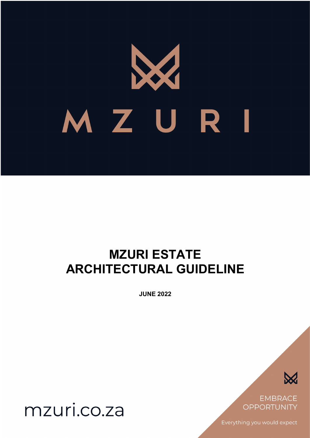# MZURI

# **MZURI ESTATE ARCHITECTURAL GUIDELINE**

**JUNE 2022**



**EMBRACE OPPORTUNITY** 

Everything you would expect

mzuri.co.za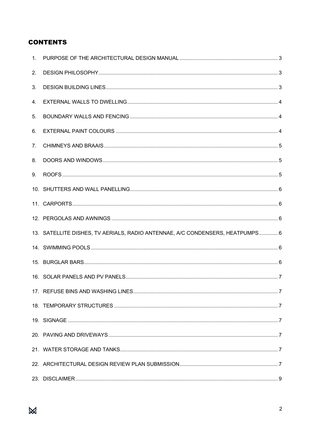# **CONTENTS**

| 2. |                                                                               |  |
|----|-------------------------------------------------------------------------------|--|
| 3. |                                                                               |  |
| 4. |                                                                               |  |
| 5. |                                                                               |  |
| 6. |                                                                               |  |
| 7. |                                                                               |  |
| 8. |                                                                               |  |
| 9. |                                                                               |  |
|    |                                                                               |  |
|    |                                                                               |  |
|    |                                                                               |  |
|    | 13. SATELLITE DISHES, TV AERIALS, RADIO ANTENNAE, A/C CONDENSERS, HEATPUMPS 6 |  |
|    |                                                                               |  |
|    |                                                                               |  |
|    |                                                                               |  |
|    |                                                                               |  |
|    |                                                                               |  |
|    |                                                                               |  |
|    |                                                                               |  |
|    |                                                                               |  |
|    |                                                                               |  |
|    |                                                                               |  |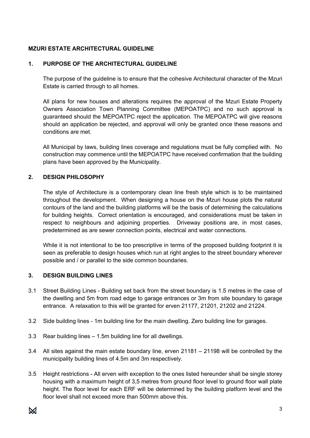# **MZURI ESTATE ARCHITECTURAL GUIDELINE**

#### **1. PURPOSE OF THE ARCHITECTURAL GUIDELINE**

The purpose of the guideline is to ensure that the cohesive Architectural character of the Mzuri Estate is carried through to all homes.

All plans for new houses and alterations requires the approval of the Mzuri Estate Property Owners Association Town Planning Committee (MEPOATPC) and no such approval is guaranteed should the MEPOATPC reject the application. The MEPOATPC will give reasons should an application be rejected, and approval will only be granted once these reasons and conditions are met.

All Municipal by laws, building lines coverage and regulations must be fully complied with. No construction may commence until the MEPOATPC have received confirmation that the building plans have been approved by the Municipality.

#### **2. DESIGN PHILOSOPHY**

The style of Architecture is a contemporary clean line fresh style which is to be maintained throughout the development. When designing a house on the Mzuri house plots the natural contours of the land and the building platforms will be the basis of determining the calculations for building heights. Correct orientation is encouraged, and considerations must be taken in respect to neighbours and adjoining properties. Driveway positions are, in most cases, predetermined as are sewer connection points, electrical and water connections.

While it is not intentional to be too prescriptive in terms of the proposed building footprint it is seen as preferable to design houses which run at right angles to the street boundary wherever possible and / or parallel to the side common boundaries.

#### **3. DESIGN BUILDING LINES**

- 3.1 Street Building Lines Building set back from the street boundary is 1.5 metres in the case of the dwelling and 5m from road edge to garage entrances or 3m from site boundary to garage entrance. A relaxation to this will be granted for erven 21177, 21201, 21202 and 21224.
- 3.2 Side building lines 1m building line for the main dwelling. Zero building line for garages.
- 3.3 Rear building lines 1.5m building line for all dwellings.
- 3.4 All sites against the main estate boundary line, erven 21181 21198 will be controlled by the municipality building lines of 4.5m and 3m respectively.
- 3.5 Height restrictions All erven with exception to the ones listed hereunder shall be single storey housing with a maximum height of 3,5 metres from ground floor level to ground floor wall plate height. The floor level for each ERF will be determined by the building platform level and the floor level shall not exceed more than 500mm above this.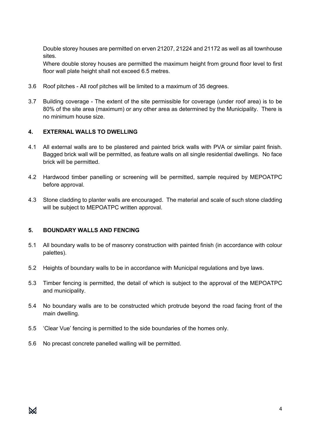Double storey houses are permitted on erven 21207, 21224 and 21172 as well as all townhouse sites.

Where double storey houses are permitted the maximum height from ground floor level to first floor wall plate height shall not exceed 6.5 metres.

- 3.6 Roof pitches All roof pitches will be limited to a maximum of 35 degrees.
- 3.7 Building coverage The extent of the site permissible for coverage (under roof area) is to be 80% of the site area (maximum) or any other area as determined by the Municipality. There is no minimum house size.

#### **4. EXTERNAL WALLS TO DWELLING**

- 4.1 All external walls are to be plastered and painted brick walls with PVA or similar paint finish. Bagged brick wall will be permitted, as feature walls on all single residential dwellings. No face brick will be permitted.
- 4.2 Hardwood timber panelling or screening will be permitted, sample required by MEPOATPC before approval.
- 4.3 Stone cladding to planter walls are encouraged. The material and scale of such stone cladding will be subject to MEPOATPC written approval.

#### **5. BOUNDARY WALLS AND FENCING**

- 5.1 All boundary walls to be of masonry construction with painted finish (in accordance with colour palettes).
- 5.2 Heights of boundary walls to be in accordance with Municipal regulations and bye laws.
- 5.3 Timber fencing is permitted, the detail of which is subject to the approval of the MEPOATPC and municipality.
- 5.4 No boundary walls are to be constructed which protrude beyond the road facing front of the main dwelling.
- 5.5 'Clear Vue' fencing is permitted to the side boundaries of the homes only.
- 5.6 No precast concrete panelled walling will be permitted.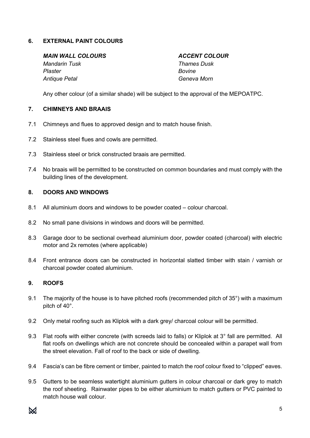#### **6. EXTERNAL PAINT COLOURS**

*MAIN WALL COLOURS ACCENT COLOUR*

*Plaster Bovine Antique Petal Geneva Morn* 

*Mandarin Tusk Thames Dusk* 

Any other colour (of a similar shade) will be subject to the approval of the MEPOATPC.

## **7. CHIMNEYS AND BRAAIS**

- 7.1 Chimneys and flues to approved design and to match house finish.
- 7.2 Stainless steel flues and cowls are permitted.
- 7.3 Stainless steel or brick constructed braais are permitted.
- 7.4 No braais will be permitted to be constructed on common boundaries and must comply with the building lines of the development.

#### **8. DOORS AND WINDOWS**

- 8.1 All aluminium doors and windows to be powder coated colour charcoal.
- 8.2 No small pane divisions in windows and doors will be permitted.
- 8.3 Garage door to be sectional overhead aluminium door, powder coated (charcoal) with electric motor and 2x remotes (where applicable)
- 8.4 Front entrance doors can be constructed in horizontal slatted timber with stain / varnish or charcoal powder coated aluminium.

#### **9. ROOFS**

- 9.1 The majority of the house is to have pitched roofs (recommended pitch of 35°) with a maximum pitch of 40°.
- 9.2 Only metal roofing such as Kliplok with a dark grey/ charcoal colour will be permitted.
- 9.3 Flat roofs with either concrete (with screeds laid to falls) or Kliplok at 3° fall are permitted. All flat roofs on dwellings which are not concrete should be concealed within a parapet wall from the street elevation. Fall of roof to the back or side of dwelling.
- 9.4 Fascia's can be fibre cement or timber, painted to match the roof colour fixed to "clipped" eaves.
- 9.5 Gutters to be seamless watertight aluminium gutters in colour charcoal or dark grey to match the roof sheeting. Rainwater pipes to be either aluminium to match gutters or PVC painted to match house wall colour.

 $\bowtie$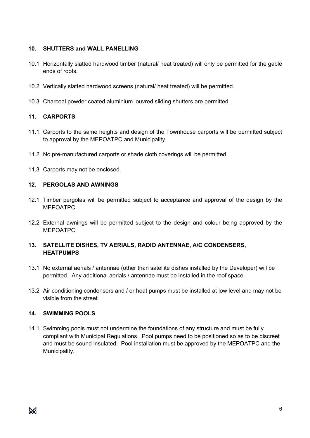# **10. SHUTTERS and WALL PANELLING**

- 10.1 Horizontally slatted hardwood timber (natural/ heat treated) will only be permitted for the gable ends of roofs.
- 10.2 Vertically slatted hardwood screens (natural/ heat treated) will be permitted.
- 10.3 Charcoal powder coated aluminium louvred sliding shutters are permitted.

# **11. CARPORTS**

- 11.1 Carports to the same heights and design of the Townhouse carports will be permitted subject to approval by the MEPOATPC and Municipality.
- 11.2 No pre-manufactured carports or shade cloth coverings will be permitted.
- 11.3 Carports may not be enclosed.

#### **12. PERGOLAS AND AWNINGS**

- 12.1 Timber pergolas will be permitted subject to acceptance and approval of the design by the MEPOATPC.
- 12.2 External awnings will be permitted subject to the design and colour being approved by the **MEPOATPC.**

# **13. SATELLITE DISHES, TV AERIALS, RADIO ANTENNAE, A/C CONDENSERS, HEATPUMPS**

- 13.1 No external aerials / antennae (other than satellite dishes installed by the Developer) will be permitted. Any additional aerials / antennae must be installed in the roof space.
- 13.2 Air conditioning condensers and / or heat pumps must be installed at low level and may not be visible from the street.

#### **14. SWIMMING POOLS**

14.1 Swimming pools must not undermine the foundations of any structure and must be fully compliant with Municipal Regulations. Pool pumps need to be positioned so as to be discreet and must be sound insulated. Pool installation must be approved by the MEPOATPC and the Municipality.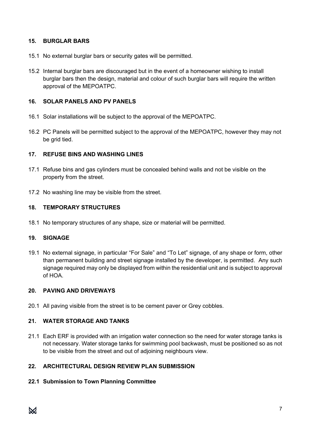#### **15. BURGLAR BARS**

- 15.1 No external burglar bars or security gates will be permitted.
- 15.2 Internal burglar bars are discouraged but in the event of a homeowner wishing to install burglar bars then the design, material and colour of such burglar bars will require the written approval of the MEPOATPC.

# **16. SOLAR PANELS AND PV PANELS**

- 16.1 Solar installations will be subject to the approval of the MEPOATPC.
- 16.2 PC Panels will be permitted subject to the approval of the MEPOATPC, however they may not be grid tied.

#### **17. REFUSE BINS AND WASHING LINES**

- 17.1 Refuse bins and gas cylinders must be concealed behind walls and not be visible on the property from the street.
- 17.2 No washing line may be visible from the street.

#### **18. TEMPORARY STRUCTURES**

18.1 No temporary structures of any shape, size or material will be permitted.

# **19. SIGNAGE**

19.1 No external signage, in particular "For Sale" and "To Let" signage, of any shape or form, other than permanent building and street signage installed by the developer, is permitted. Any such signage required may only be displayed from within the residential unit and is subject to approval of HOA.

#### **20. PAVING AND DRIVEWAYS**

20.1 All paving visible from the street is to be cement paver or Grey cobbles.

# **21. WATER STORAGE AND TANKS**

21.1 Each ERF is provided with an irrigation water connection so the need for water storage tanks is not necessary. Water storage tanks for swimming pool backwash, must be positioned so as not to be visible from the street and out of adjoining neighbours view.

# **22. ARCHITECTURAL DESIGN REVIEW PLAN SUBMISSION**

# **22.1 Submission to Town Planning Committee**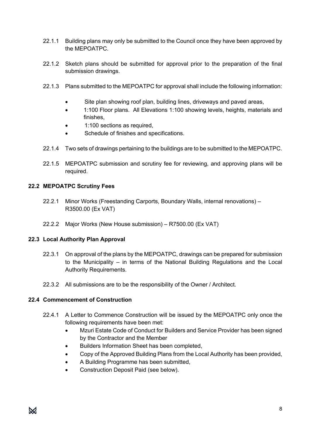- 22.1.1 Building plans may only be submitted to the Council once they have been approved by the MEPOATPC.
- 22.1.2 Sketch plans should be submitted for approval prior to the preparation of the final submission drawings.
- 22.1.3 Plans submitted to the MEPOATPC for approval shall include the following information:
	- Site plan showing roof plan, building lines, driveways and paved areas,
	- 1:100 Floor plans. All Elevations 1:100 showing levels, heights, materials and finishes,
	- 1:100 sections as required,
	- Schedule of finishes and specifications.
- 22.1.4 Two sets of drawings pertaining to the buildings are to be submitted to the MEPOATPC.
- 22.1.5 MEPOATPC submission and scrutiny fee for reviewing, and approving plans will be required.

#### **22.2 MEPOATPC Scrutiny Fees**

- 22.2.1 Minor Works (Freestanding Carports, Boundary Walls, internal renovations) R3500.00 (Ex VAT)
- 22.2.2 Major Works (New House submission) R7500.00 (Ex VAT)

#### **22.3 Local Authority Plan Approval**

- 22.3.1 On approval of the plans by the MEPOATPC, drawings can be prepared for submission to the Municipality – in terms of the National Building Regulations and the Local Authority Requirements.
- 22.3.2 All submissions are to be the responsibility of the Owner / Architect.

#### **22.4 Commencement of Construction**

- 22.4.1 A Letter to Commence Construction will be issued by the MEPOATPC only once the following requirements have been met:
	- Mzuri Estate Code of Conduct for Builders and Service Provider has been signed by the Contractor and the Member
	- Builders Information Sheet has been completed,
	- Copy of the Approved Building Plans from the Local Authority has been provided,
	- A Building Programme has been submitted,
	- Construction Deposit Paid (see below).